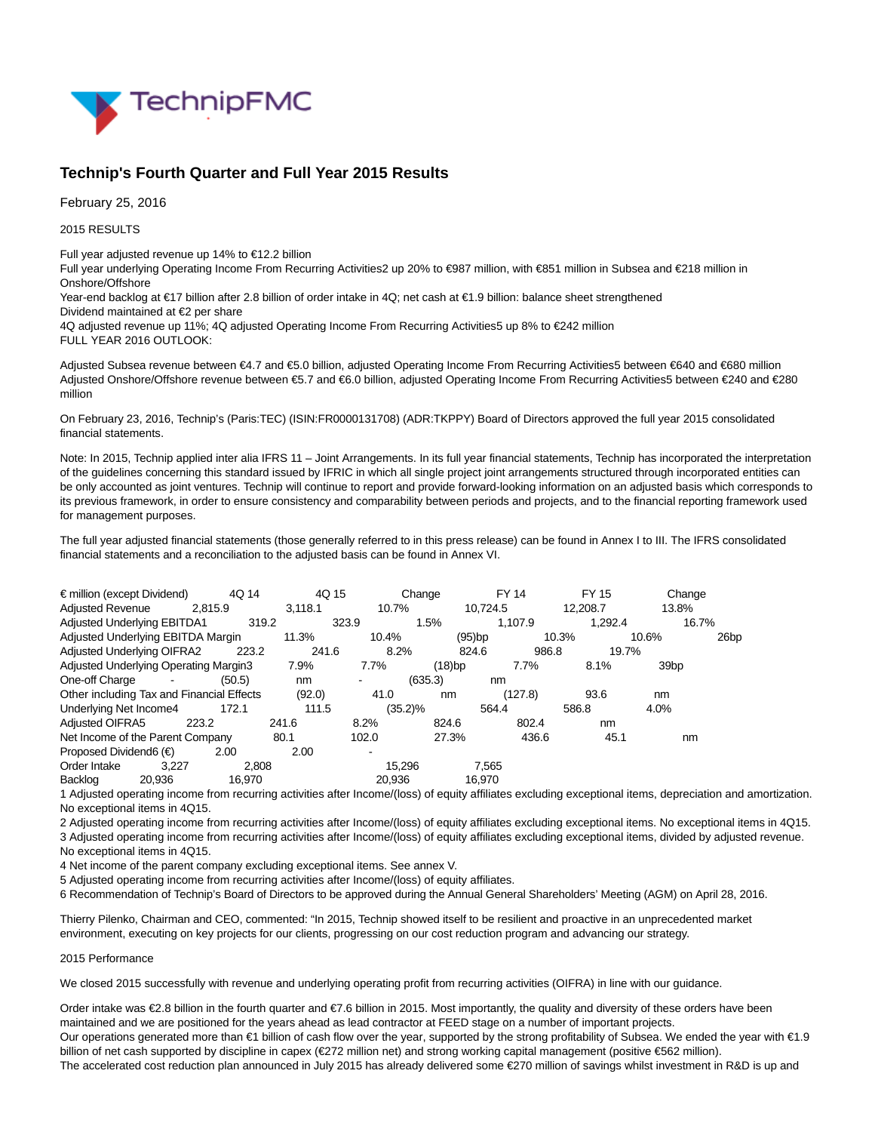

# **Technip's Fourth Quarter and Full Year 2015 Results**

February 25, 2016

2015 RESULTS

Full year adjusted revenue up 14% to €12.2 billion

Full year underlying Operating Income From Recurring Activities2 up 20% to €987 million, with €851 million in Subsea and €218 million in Onshore/Offshore

Year-end backlog at €17 billion after 2.8 billion of order intake in 4Q; net cash at €1.9 billion: balance sheet strengthened Dividend maintained at €2 per share

4Q adjusted revenue up 11%; 4Q adjusted Operating Income From Recurring Activities5 up 8% to €242 million FULL YEAR 2016 OUTLOOK:

Adjusted Subsea revenue between €4.7 and €5.0 billion, adjusted Operating Income From Recurring Activities5 between €640 and €680 million Adjusted Onshore/Offshore revenue between €5.7 and €6.0 billion, adjusted Operating Income From Recurring Activities5 between €240 and €280 million

On February 23, 2016, Technip's (Paris:TEC) (ISIN:FR0000131708) (ADR:TKPPY) Board of Directors approved the full year 2015 consolidated financial statements.

Note: In 2015, Technip applied inter alia IFRS 11 – Joint Arrangements. In its full year financial statements, Technip has incorporated the interpretation of the guidelines concerning this standard issued by IFRIC in which all single project joint arrangements structured through incorporated entities can be only accounted as joint ventures. Technip will continue to report and provide forward-looking information on an adjusted basis which corresponds to its previous framework, in order to ensure consistency and comparability between periods and projects, and to the financial reporting framework used for management purposes.

The full year adjusted financial statements (those generally referred to in this press release) can be found in Annex I to III. The IFRS consolidated financial statements and a reconciliation to the adjusted basis can be found in Annex VI.

| $\epsilon$ million (except Dividend)      |                                       | 4Q 14   | 4Q 15   |            | Change  |           | <b>FY 14</b> | FY 15    | Change           |                  |
|-------------------------------------------|---------------------------------------|---------|---------|------------|---------|-----------|--------------|----------|------------------|------------------|
| <b>Adjusted Revenue</b>                   |                                       | 2.815.9 | 3.118.1 | 10.7%      |         | 10.724.5  |              | 12,208.7 | 13.8%            |                  |
|                                           | <b>Adjusted Underlying EBITDA1</b>    | 319.2   |         | 323.9      | 1.5%    |           | 1.107.9      | 1,292.4  | 16.7%            |                  |
|                                           | Adjusted Underlying EBITDA Margin     |         | 11.3%   | 10.4%      |         | $(95)$ bp | 10.3%        |          | 10.6%            | 26 <sub>bp</sub> |
| <b>Adjusted Underlying OIFRA2</b>         |                                       | 223.2   | 241.6   | 8.2%       |         | 824.6     | 986.8        | 19.7%    |                  |                  |
|                                           | Adjusted Underlying Operating Margin3 |         | 7.9%    | 7.7%       | (18)bp  |           | 7.7%         | 8.1%     | 39 <sub>bp</sub> |                  |
| One-off Charge                            | $\blacksquare$                        | (50.5)  | nm      |            | (635.3) | nm        |              |          |                  |                  |
| Other including Tax and Financial Effects |                                       |         | (92.0)  | 41.0       | nm      |           | (127.8)      | 93.6     | nm               |                  |
| Underlying Net Income4                    |                                       | 172.1   | 111.5   | $(35.2)\%$ |         | 564.4     |              | 586.8    | 4.0%             |                  |
| Adjusted OIFRA5                           | 223.2                                 |         | 241.6   | 8.2%       | 824.6   |           | 802.4        | nm       |                  |                  |
|                                           | Net Income of the Parent Company      |         | 80.1    | 102.0      | 27.3%   |           | 436.6        | 45.1     | nm               |                  |
| Proposed Dividend6 $(\epsilon)$           |                                       | 2.00    | 2.00    | -          |         |           |              |          |                  |                  |
| Order Intake                              | 3.227                                 | 2.808   |         | 15.296     |         | 7.565     |              |          |                  |                  |
| Backlog                                   | 20,936                                | 16.970  |         | 20.936     |         | 16.970    |              |          |                  |                  |

1 Adjusted operating income from recurring activities after Income/(loss) of equity affiliates excluding exceptional items, depreciation and amortization. No exceptional items in 4Q15.

2 Adjusted operating income from recurring activities after Income/(loss) of equity affiliates excluding exceptional items. No exceptional items in 4Q15. 3 Adjusted operating income from recurring activities after Income/(loss) of equity affiliates excluding exceptional items, divided by adjusted revenue. No exceptional items in 4Q15.

4 Net income of the parent company excluding exceptional items. See annex V.

5 Adjusted operating income from recurring activities after Income/(loss) of equity affiliates.

6 Recommendation of Technip's Board of Directors to be approved during the Annual General Shareholders' Meeting (AGM) on April 28, 2016.

Thierry Pilenko, Chairman and CEO, commented: "In 2015, Technip showed itself to be resilient and proactive in an unprecedented market environment, executing on key projects for our clients, progressing on our cost reduction program and advancing our strategy.

#### 2015 Performance

We closed 2015 successfully with revenue and underlying operating profit from recurring activities (OIFRA) in line with our guidance.

Order intake was €2.8 billion in the fourth quarter and €7.6 billion in 2015. Most importantly, the quality and diversity of these orders have been maintained and we are positioned for the years ahead as lead contractor at FEED stage on a number of important projects. Our operations generated more than €1 billion of cash flow over the year, supported by the strong profitability of Subsea. We ended the year with €1.9 billion of net cash supported by discipline in capex (€272 million net) and strong working capital management (positive €562 million). The accelerated cost reduction plan announced in July 2015 has already delivered some €270 million of savings whilst investment in R&D is up and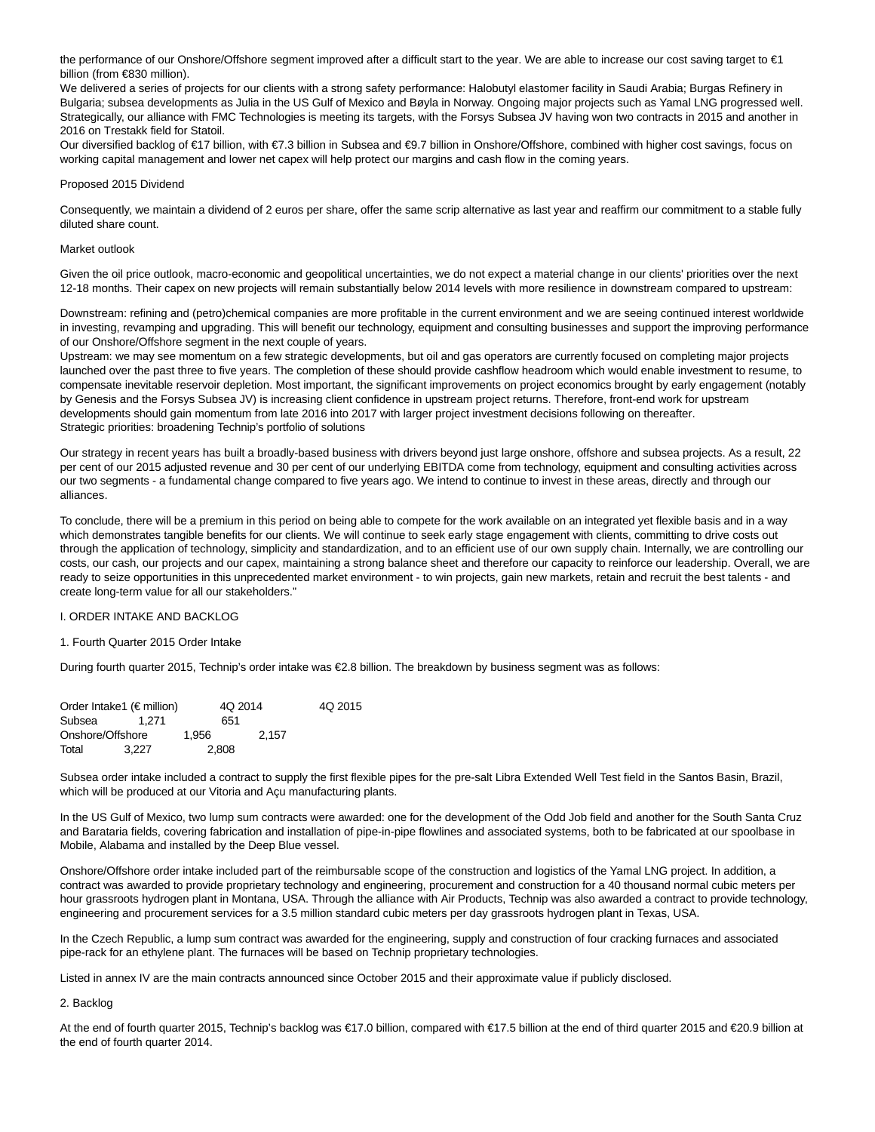the performance of our Onshore/Offshore segment improved after a difficult start to the year. We are able to increase our cost saving target to €1 billion (from €830 million).

We delivered a series of projects for our clients with a strong safety performance: Halobutyl elastomer facility in Saudi Arabia; Burgas Refinery in Bulgaria; subsea developments as Julia in the US Gulf of Mexico and Bøyla in Norway. Ongoing major projects such as Yamal LNG progressed well. Strategically, our alliance with FMC Technologies is meeting its targets, with the Forsys Subsea JV having won two contracts in 2015 and another in 2016 on Trestakk field for Statoil.

Our diversified backlog of €17 billion, with €7.3 billion in Subsea and €9.7 billion in Onshore/Offshore, combined with higher cost savings, focus on working capital management and lower net capex will help protect our margins and cash flow in the coming years.

#### Proposed 2015 Dividend

Consequently, we maintain a dividend of 2 euros per share, offer the same scrip alternative as last year and reaffirm our commitment to a stable fully diluted share count.

#### Market outlook

Given the oil price outlook, macro-economic and geopolitical uncertainties, we do not expect a material change in our clients' priorities over the next 12-18 months. Their capex on new projects will remain substantially below 2014 levels with more resilience in downstream compared to upstream:

Downstream: refining and (petro)chemical companies are more profitable in the current environment and we are seeing continued interest worldwide in investing, revamping and upgrading. This will benefit our technology, equipment and consulting businesses and support the improving performance of our Onshore/Offshore segment in the next couple of years.

Upstream: we may see momentum on a few strategic developments, but oil and gas operators are currently focused on completing major projects launched over the past three to five years. The completion of these should provide cashflow headroom which would enable investment to resume, to compensate inevitable reservoir depletion. Most important, the significant improvements on project economics brought by early engagement (notably by Genesis and the Forsys Subsea JV) is increasing client confidence in upstream project returns. Therefore, front-end work for upstream developments should gain momentum from late 2016 into 2017 with larger project investment decisions following on thereafter. Strategic priorities: broadening Technip's portfolio of solutions

Our strategy in recent years has built a broadly-based business with drivers beyond just large onshore, offshore and subsea projects. As a result, 22 per cent of our 2015 adjusted revenue and 30 per cent of our underlying EBITDA come from technology, equipment and consulting activities across our two segments - a fundamental change compared to five years ago. We intend to continue to invest in these areas, directly and through our alliances.

To conclude, there will be a premium in this period on being able to compete for the work available on an integrated yet flexible basis and in a way which demonstrates tangible benefits for our clients. We will continue to seek early stage engagement with clients, committing to drive costs out through the application of technology, simplicity and standardization, and to an efficient use of our own supply chain. Internally, we are controlling our costs, our cash, our projects and our capex, maintaining a strong balance sheet and therefore our capacity to reinforce our leadership. Overall, we are ready to seize opportunities in this unprecedented market environment - to win projects, gain new markets, retain and recruit the best talents - and create long-term value for all our stakeholders."

# I. ORDER INTAKE AND BACKLOG

#### 1. Fourth Quarter 2015 Order Intake

During fourth quarter 2015, Technip's order intake was €2.8 billion. The breakdown by business segment was as follows:

| Order Intake1 ( $\notin$ million) |       |       | 4Q 2014 |       | 4Q 2015 |
|-----------------------------------|-------|-------|---------|-------|---------|
| Subsea                            | 1.271 |       | 651     |       |         |
| Onshore/Offshore                  |       | 1.956 |         | 2.157 |         |
| Total                             | 3.227 |       | 2.808   |       |         |

Subsea order intake included a contract to supply the first flexible pipes for the pre-salt Libra Extended Well Test field in the Santos Basin, Brazil, which will be produced at our Vitoria and Açu manufacturing plants.

In the US Gulf of Mexico, two lump sum contracts were awarded: one for the development of the Odd Job field and another for the South Santa Cruz and Barataria fields, covering fabrication and installation of pipe-in-pipe flowlines and associated systems, both to be fabricated at our spoolbase in Mobile, Alabama and installed by the Deep Blue vessel.

Onshore/Offshore order intake included part of the reimbursable scope of the construction and logistics of the Yamal LNG project. In addition, a contract was awarded to provide proprietary technology and engineering, procurement and construction for a 40 thousand normal cubic meters per hour grassroots hydrogen plant in Montana, USA. Through the alliance with Air Products, Technip was also awarded a contract to provide technology, engineering and procurement services for a 3.5 million standard cubic meters per day grassroots hydrogen plant in Texas, USA.

In the Czech Republic, a lump sum contract was awarded for the engineering, supply and construction of four cracking furnaces and associated pipe-rack for an ethylene plant. The furnaces will be based on Technip proprietary technologies.

Listed in annex IV are the main contracts announced since October 2015 and their approximate value if publicly disclosed.

#### 2. Backlog

At the end of fourth quarter 2015, Technip's backlog was €17.0 billion, compared with €17.5 billion at the end of third quarter 2015 and €20.9 billion at the end of fourth quarter 2014.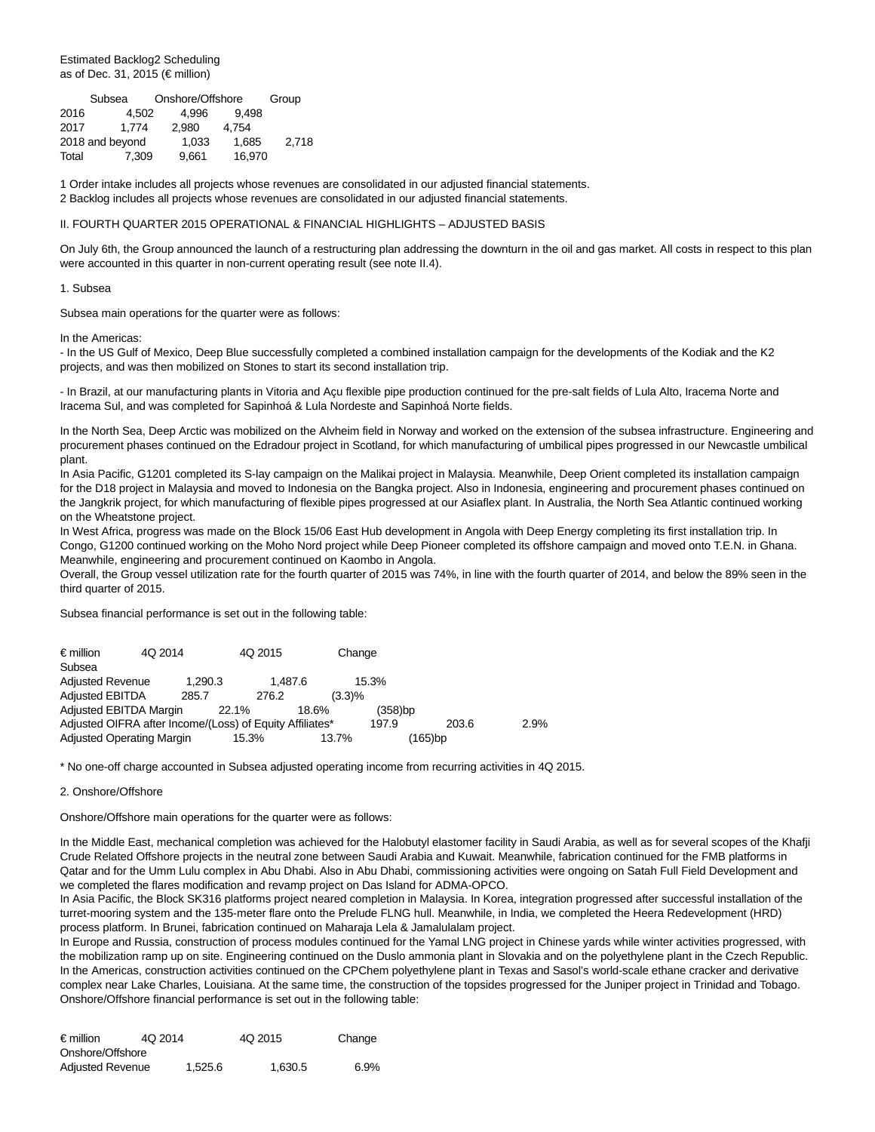Estimated Backlog2 Scheduling as of Dec. 31, 2015 (€ million)

|       | Subsea          |       | Onshore/Offshore |       |  |  |  |
|-------|-----------------|-------|------------------|-------|--|--|--|
| 2016  | 4.502           | 4.996 | 9.498            |       |  |  |  |
| 2017  | 1.774           | 2.980 | 4.754            |       |  |  |  |
|       | 2018 and beyond | 1.033 | 1.685            | 2.718 |  |  |  |
| Total | 7.309           | 9.661 | 16.970           |       |  |  |  |

1 Order intake includes all projects whose revenues are consolidated in our adjusted financial statements. 2 Backlog includes all projects whose revenues are consolidated in our adjusted financial statements.

#### II. FOURTH QUARTER 2015 OPERATIONAL & FINANCIAL HIGHLIGHTS – ADJUSTED BASIS

On July 6th, the Group announced the launch of a restructuring plan addressing the downturn in the oil and gas market. All costs in respect to this plan were accounted in this quarter in non-current operating result (see note II.4).

#### 1. Subsea

Subsea main operations for the quarter were as follows:

In the Americas:

- In the US Gulf of Mexico, Deep Blue successfully completed a combined installation campaign for the developments of the Kodiak and the K2 projects, and was then mobilized on Stones to start its second installation trip.

- In Brazil, at our manufacturing plants in Vitoria and Açu flexible pipe production continued for the pre-salt fields of Lula Alto, Iracema Norte and Iracema Sul, and was completed for Sapinhoá & Lula Nordeste and Sapinhoá Norte fields.

In the North Sea, Deep Arctic was mobilized on the Alvheim field in Norway and worked on the extension of the subsea infrastructure. Engineering and procurement phases continued on the Edradour project in Scotland, for which manufacturing of umbilical pipes progressed in our Newcastle umbilical plant.

In Asia Pacific, G1201 completed its S-lay campaign on the Malikai project in Malaysia. Meanwhile, Deep Orient completed its installation campaign for the D18 project in Malaysia and moved to Indonesia on the Bangka project. Also in Indonesia, engineering and procurement phases continued on the Jangkrik project, for which manufacturing of flexible pipes progressed at our Asiaflex plant. In Australia, the North Sea Atlantic continued working on the Wheatstone project.

In West Africa, progress was made on the Block 15/06 East Hub development in Angola with Deep Energy completing its first installation trip. In Congo, G1200 continued working on the Moho Nord project while Deep Pioneer completed its offshore campaign and moved onto T.E.N. in Ghana. Meanwhile, engineering and procurement continued on Kaombo in Angola.

Overall, the Group vessel utilization rate for the fourth quarter of 2015 was 74%, in line with the fourth quarter of 2014, and below the 89% seen in the third quarter of 2015.

Subsea financial performance is set out in the following table:

| $\epsilon$ million      | 4Q 2014                                                  |         | 4Q 2015 |        | Change  |         |      |
|-------------------------|----------------------------------------------------------|---------|---------|--------|---------|---------|------|
| Subsea                  |                                                          |         |         |        |         |         |      |
| <b>Adjusted Revenue</b> |                                                          | 1,290.3 | 1.487.6 |        | 15.3%   |         |      |
| <b>Adjusted EBITDA</b>  |                                                          | 285.7   | 276.2   | (3.3)% |         |         |      |
|                         | Adjusted EBITDA Margin                                   | 22.1%   |         | 18.6%  | (358)bp |         |      |
|                         | Adjusted OIFRA after Income/(Loss) of Equity Affiliates* |         |         |        | 197.9   | 203.6   | 2.9% |
|                         | <b>Adjusted Operating Margin</b>                         |         | 15.3%   | 13.7%  |         | (165)bp |      |

\* No one-off charge accounted in Subsea adjusted operating income from recurring activities in 4Q 2015.

# 2. Onshore/Offshore

Onshore/Offshore main operations for the quarter were as follows:

In the Middle East, mechanical completion was achieved for the Halobutyl elastomer facility in Saudi Arabia, as well as for several scopes of the Khafji Crude Related Offshore projects in the neutral zone between Saudi Arabia and Kuwait. Meanwhile, fabrication continued for the FMB platforms in Qatar and for the Umm Lulu complex in Abu Dhabi. Also in Abu Dhabi, commissioning activities were ongoing on Satah Full Field Development and we completed the flares modification and revamp project on Das Island for ADMA-OPCO.

In Asia Pacific, the Block SK316 platforms project neared completion in Malaysia. In Korea, integration progressed after successful installation of the turret-mooring system and the 135-meter flare onto the Prelude FLNG hull. Meanwhile, in India, we completed the Heera Redevelopment (HRD) process platform. In Brunei, fabrication continued on Maharaja Lela & Jamalulalam project.

In Europe and Russia, construction of process modules continued for the Yamal LNG project in Chinese yards while winter activities progressed, with the mobilization ramp up on site. Engineering continued on the Duslo ammonia plant in Slovakia and on the polyethylene plant in the Czech Republic. In the Americas, construction activities continued on the CPChem polyethylene plant in Texas and Sasol's world-scale ethane cracker and derivative complex near Lake Charles, Louisiana. At the same time, the construction of the topsides progressed for the Juniper project in Trinidad and Tobago. Onshore/Offshore financial performance is set out in the following table:

| $\epsilon$ million      | 4Q 2014 | 4Q 2015 | Change |
|-------------------------|---------|---------|--------|
| Onshore/Offshore        |         |         |        |
| <b>Adjusted Revenue</b> | 1.525.6 | 1.630.5 | 6.9%   |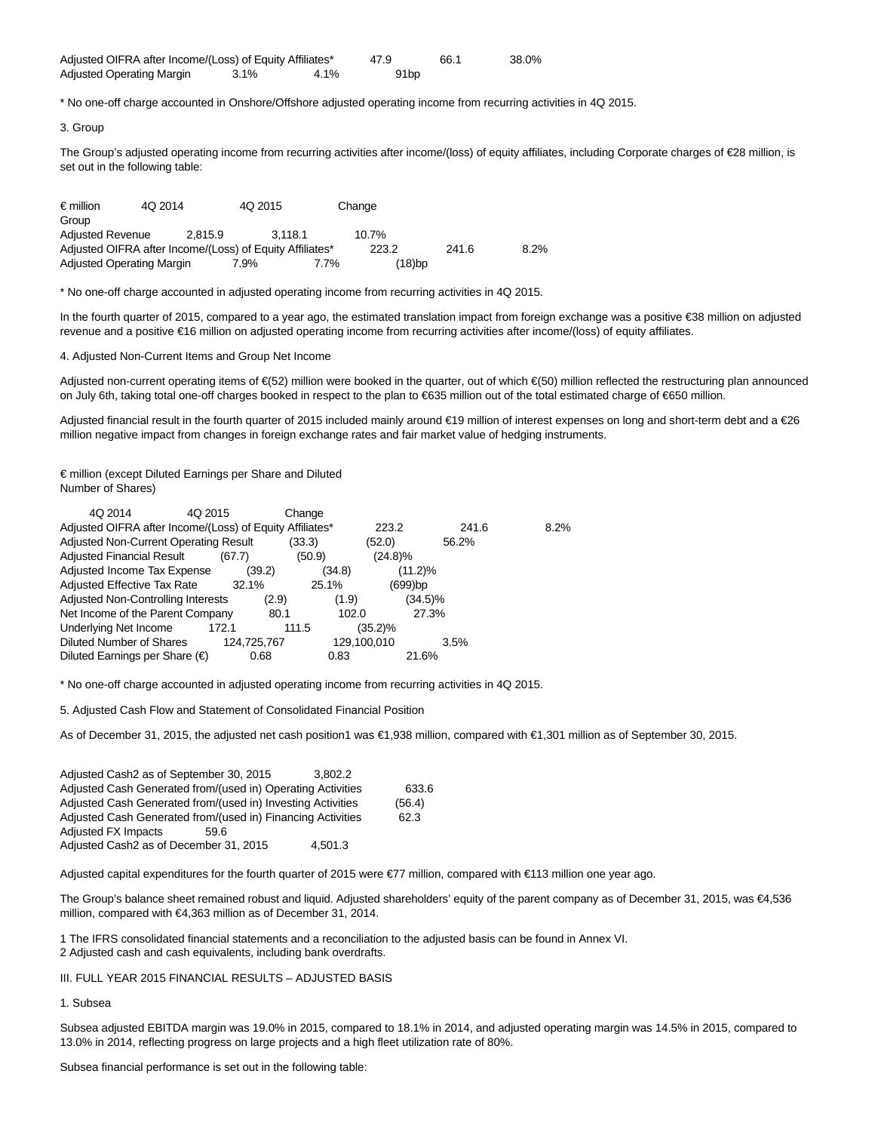| Adjusted OIFRA after Income/(Loss) of Equity Affiliates* |         |         | 47.9 | 66.1 | 38.0% |
|----------------------------------------------------------|---------|---------|------|------|-------|
| Adjusted Operating Margin                                | $3.1\%$ | $4.1\%$ | 91bp |      |       |

\* No one-off charge accounted in Onshore/Offshore adjusted operating income from recurring activities in 4Q 2015.

### 3. Group

The Group's adjusted operating income from recurring activities after income/(loss) of equity affiliates, including Corporate charges of €28 million, is set out in the following table:

| $\epsilon$ million        | 4Q 2014 | 4Q 2015                                                  |         | Change    |       |      |
|---------------------------|---------|----------------------------------------------------------|---------|-----------|-------|------|
| Group                     |         |                                                          |         |           |       |      |
| <b>Adjusted Revenue</b>   |         | 2.815.9                                                  | 3.118.1 | $10.7\%$  |       |      |
|                           |         | Adjusted OIFRA after Income/(Loss) of Equity Affiliates* |         | 223.2     | 241.6 | 8.2% |
| Adjusted Operating Margin |         | 7.9%                                                     | 7.7%    | $(18)$ bp |       |      |

\* No one-off charge accounted in adjusted operating income from recurring activities in 4Q 2015.

In the fourth quarter of 2015, compared to a year ago, the estimated translation impact from foreign exchange was a positive €38 million on adjusted revenue and a positive €16 million on adjusted operating income from recurring activities after income/(loss) of equity affiliates.

4. Adjusted Non-Current Items and Group Net Income

Adjusted non-current operating items of €(52) million were booked in the quarter, out of which €(50) million reflected the restructuring plan announced on July 6th, taking total one-off charges booked in respect to the plan to €635 million out of the total estimated charge of €650 million.

Adjusted financial result in the fourth quarter of 2015 included mainly around €19 million of interest expenses on long and short-term debt and a €26 million negative impact from changes in foreign exchange rates and fair market value of hedging instruments.

€ million (except Diluted Earnings per Share and Diluted Number of Shares)

| 4Q 2014<br>4Q 2015                                       |             | Change |             |            |       |      |
|----------------------------------------------------------|-------------|--------|-------------|------------|-------|------|
| Adjusted OIFRA after Income/(Loss) of Equity Affiliates* |             |        | 223.2       |            | 241.6 | 8.2% |
| Adjusted Non-Current Operating Result                    |             | (33.3) | (52.0)      |            | 56.2% |      |
| <b>Adjusted Financial Result</b>                         | (67.7)      | (50.9) | $(24.8)\%$  |            |       |      |
| Adjusted Income Tax Expense                              | (39.2)      | (34.8) |             | $(11.2)\%$ |       |      |
| <b>Adjusted Effective Tax Rate</b>                       | 32.1%       | 25.1%  |             | (699)bp    |       |      |
| Adjusted Non-Controlling Interests                       | (2.9)       | (1.9)  |             | $(34.5)\%$ |       |      |
| Net Income of the Parent Company                         | 80.1        |        | 102.0       | 27.3%      |       |      |
| Underlying Net Income                                    | 172.1       | 111.5  | $(35.2)\%$  |            |       |      |
| <b>Diluted Number of Shares</b>                          | 124,725,767 |        | 129,100,010 |            | 3.5%  |      |
| Diluted Earnings per Share $(\epsilon)$                  | 0.68        | 0.83   |             | 21.6%      |       |      |

\* No one-off charge accounted in adjusted operating income from recurring activities in 4Q 2015.

5. Adjusted Cash Flow and Statement of Consolidated Financial Position

As of December 31, 2015, the adjusted net cash position1 was €1,938 million, compared with €1,301 million as of September 30, 2015.

| Adjusted Cash2 as of September 30, 2015<br>3.802.2          |        |
|-------------------------------------------------------------|--------|
| Adjusted Cash Generated from/(used in) Operating Activities | 633.6  |
| Adjusted Cash Generated from/(used in) Investing Activities | (56.4) |
| Adjusted Cash Generated from/(used in) Financing Activities | 62.3   |
| <b>Adjusted FX Impacts</b><br>59.6                          |        |
| Adjusted Cash2 as of December 31, 2015<br>4.501.3           |        |

Adjusted capital expenditures for the fourth quarter of 2015 were €77 million, compared with €113 million one year ago.

The Group's balance sheet remained robust and liquid. Adjusted shareholders' equity of the parent company as of December 31, 2015, was €4,536 million, compared with €4,363 million as of December 31, 2014.

1 The IFRS consolidated financial statements and a reconciliation to the adjusted basis can be found in Annex VI.

2 Adjusted cash and cash equivalents, including bank overdrafts.

III. FULL YEAR 2015 FINANCIAL RESULTS – ADJUSTED BASIS

# 1. Subsea

Subsea adjusted EBITDA margin was 19.0% in 2015, compared to 18.1% in 2014, and adjusted operating margin was 14.5% in 2015, compared to 13.0% in 2014, reflecting progress on large projects and a high fleet utilization rate of 80%.

Subsea financial performance is set out in the following table: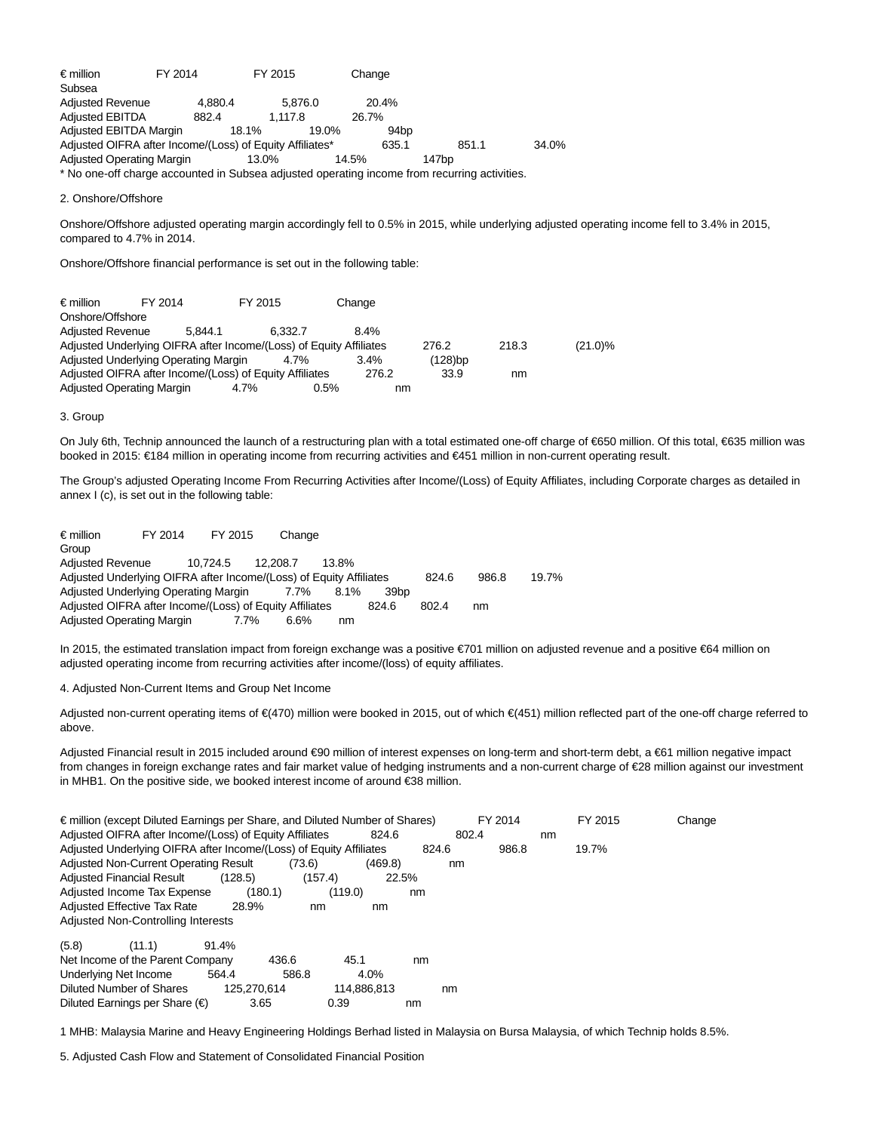€ million FY 2014 FY 2015 Change Subsea Adjusted Revenue 4,880.4 5,876.0 20.4% Adjusted EBITDA 882.4 1,117.8 26.7% Adjusted EBITDA Margin 18.1% 19.0% 94bp Adjusted OIFRA after Income/(Loss) of Equity Affiliates\* 635.1 851.1 851.1 34.0% Adjusted Operating Margin 13.0% 14.5% 147bp \* No one-off charge accounted in Subsea adjusted operating income from recurring activities.

2. Onshore/Offshore

Onshore/Offshore adjusted operating margin accordingly fell to 0.5% in 2015, while underlying adjusted operating income fell to 3.4% in 2015, compared to 4.7% in 2014.

Onshore/Offshore financial performance is set out in the following table:

| $\epsilon$ million                                                 | FY 2014 |         | FY 2015 |      | Change  |         |       |            |
|--------------------------------------------------------------------|---------|---------|---------|------|---------|---------|-------|------------|
| Onshore/Offshore                                                   |         |         |         |      |         |         |       |            |
| <b>Adjusted Revenue</b>                                            |         | 5.844.1 | 6.332.7 |      | 8.4%    |         |       |            |
| Adjusted Underlying OIFRA after Income/(Loss) of Equity Affiliates |         |         |         |      |         | 276.2   | 218.3 | $(21.0)\%$ |
| Adjusted Underlying Operating Margin                               |         |         | 4.7%    |      | $3.4\%$ | (128)bp |       |            |
| Adjusted OIFRA after Income/(Loss) of Equity Affiliates            |         |         |         |      | 276.2   | 33.9    | nm    |            |
| <b>Adjusted Operating Margin</b>                                   |         |         | 4.7%    | 0.5% | nm      |         |       |            |

## 3. Group

On July 6th, Technip announced the launch of a restructuring plan with a total estimated one-off charge of €650 million. Of this total, €635 million was booked in 2015: €184 million in operating income from recurring activities and €451 million in non-current operating result.

The Group's adjusted Operating Income From Recurring Activities after Income/(Loss) of Equity Affiliates, including Corporate charges as detailed in annex I (c), is set out in the following table:

| $\epsilon$ million      | FY 2014                                                            | FY 2015  | Change   |          |                  |       |       |       |
|-------------------------|--------------------------------------------------------------------|----------|----------|----------|------------------|-------|-------|-------|
| Group                   |                                                                    |          |          |          |                  |       |       |       |
| <b>Adjusted Revenue</b> |                                                                    | 10.724.5 | 12.208.7 | $13.8\%$ |                  |       |       |       |
|                         | Adjusted Underlying OIFRA after Income/(Loss) of Equity Affiliates |          |          |          |                  | 824.6 | 986.8 | 19.7% |
|                         | Adjusted Underlying Operating Margin                               |          | 7.7%     | 8.1%     | 39 <sub>bp</sub> |       |       |       |
|                         | Adjusted OIFRA after Income/(Loss) of Equity Affiliates            |          |          |          | 824.6            | 802.4 | nm    |       |
|                         | Adjusted Operating Margin                                          | $7.7\%$  | $6.6\%$  | nm       |                  |       |       |       |

In 2015, the estimated translation impact from foreign exchange was a positive €701 million on adjusted revenue and a positive €64 million on adjusted operating income from recurring activities after income/(loss) of equity affiliates.

4. Adjusted Non-Current Items and Group Net Income

Adjusted non-current operating items of €(470) million were booked in 2015, out of which €(451) million reflected part of the one-off charge referred to above.

Adjusted Financial result in 2015 included around €90 million of interest expenses on long-term and short-term debt, a €61 million negative impact from changes in foreign exchange rates and fair market value of hedging instruments and a non-current charge of €28 million against our investment in MHB1. On the positive side, we booked interest income of around €38 million.

| $\epsilon$ million (except Diluted Earnings per Share, and Diluted Number of Shares) |             |         |             |       |       | FY 2014 |    | FY 2015 | Change |
|--------------------------------------------------------------------------------------|-------------|---------|-------------|-------|-------|---------|----|---------|--------|
| Adjusted OIFRA after Income/(Loss) of Equity Affiliates                              |             |         | 824.6       |       | 802.4 |         | nm |         |        |
| Adjusted Underlying OIFRA after Income/(Loss) of Equity Affiliates                   |             |         |             | 824.6 |       | 986.8   |    | 19.7%   |        |
| Adjusted Non-Current Operating Result                                                |             | (73.6)  | (469.8)     |       | nm    |         |    |         |        |
| Adjusted Financial Result                                                            | (128.5)     | (157.4) | 22.5%       |       |       |         |    |         |        |
| Adjusted Income Tax Expense                                                          | (180.1)     |         | (119.0)     | nm    |       |         |    |         |        |
| <b>Adjusted Effective Tax Rate</b>                                                   | 28.9%       | nm      | nm          |       |       |         |    |         |        |
| Adjusted Non-Controlling Interests                                                   |             |         |             |       |       |         |    |         |        |
| (5.8)<br>(11.1)                                                                      | 91.4%       |         |             |       |       |         |    |         |        |
| Net Income of the Parent Company                                                     |             | 436.6   | 45.1        | nm    |       |         |    |         |        |
| Underlying Net Income                                                                | 564.4       | 586.8   | 4.0%        |       |       |         |    |         |        |
| Diluted Number of Shares                                                             | 125.270.614 |         | 114,886,813 |       | nm    |         |    |         |        |
| Diluted Earnings per Share $(\epsilon)$                                              | 3.65        | 0.39    |             | nm    |       |         |    |         |        |

1 MHB: Malaysia Marine and Heavy Engineering Holdings Berhad listed in Malaysia on Bursa Malaysia, of which Technip holds 8.5%.

5. Adjusted Cash Flow and Statement of Consolidated Financial Position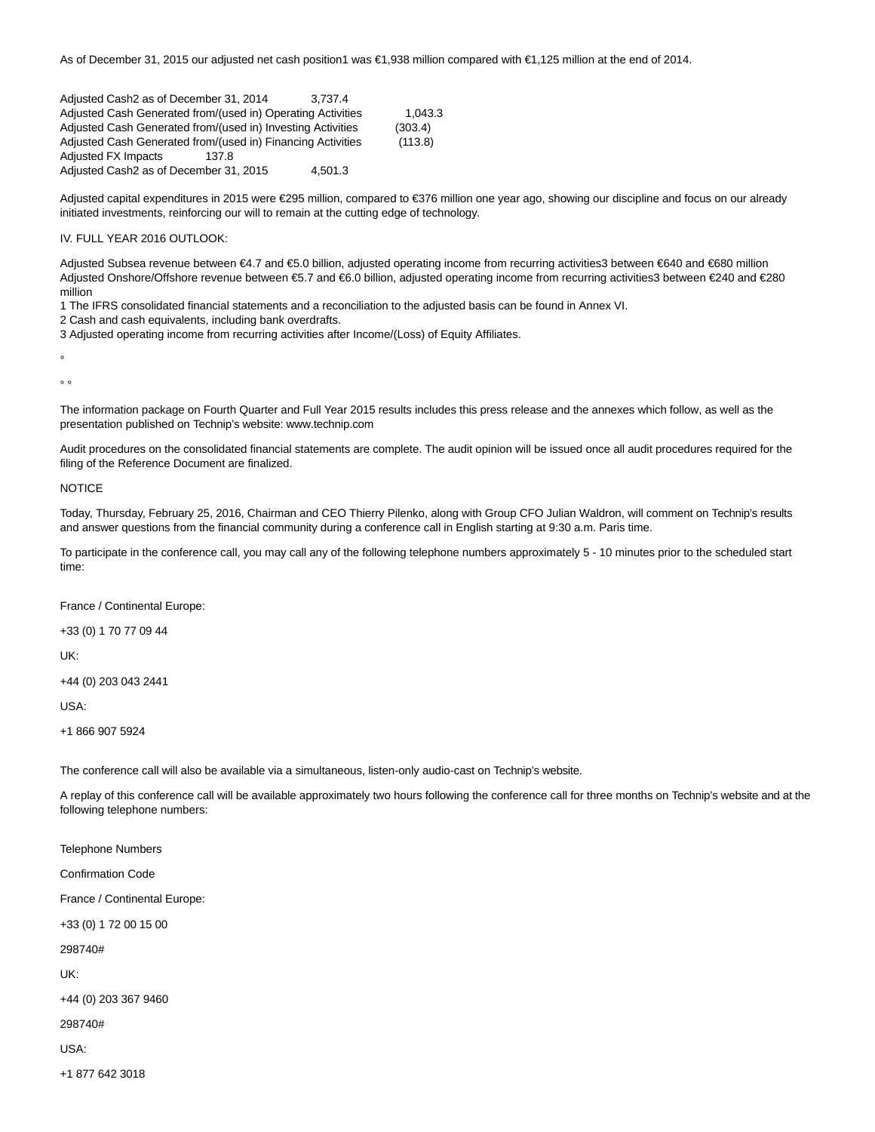As of December 31, 2015 our adjusted net cash position1 was €1,938 million compared with €1,125 million at the end of 2014.

Adjusted Cash2 as of December 31, 2014 3,737.4 Adjusted Cash Generated from/(used in) Operating Activities 1,043.3 Adjusted Cash Generated from/(used in) Investing Activities (303.4) Adjusted Cash Generated from/(used in) Financing Activities (113.8) Adjusted FX Impacts 137.8 Adjusted Cash2 as of December 31, 2015 4,501.3

Adjusted capital expenditures in 2015 were €295 million, compared to €376 million one year ago, showing our discipline and focus on our already initiated investments, reinforcing our will to remain at the cutting edge of technology.

## IV. FULL YEAR 2016 OUTLOOK:

Adjusted Subsea revenue between €4.7 and €5.0 billion, adjusted operating income from recurring activities3 between €640 and €680 million Adjusted Onshore/Offshore revenue between €5.7 and €6.0 billion, adjusted operating income from recurring activities3 between €240 and €280 million

1 The IFRS consolidated financial statements and a reconciliation to the adjusted basis can be found in Annex VI.

2 Cash and cash equivalents, including bank overdrafts.

3 Adjusted operating income from recurring activities after Income/(Loss) of Equity Affiliates.

°

 $\circ$ 

The information package on Fourth Quarter and Full Year 2015 results includes this press release and the annexes which follow, as well as the presentation published on Technip's website: www.technip.com

Audit procedures on the consolidated financial statements are complete. The audit opinion will be issued once all audit procedures required for the filing of the Reference Document are finalized.

# **NOTICE**

Today, Thursday, February 25, 2016, Chairman and CEO Thierry Pilenko, along with Group CFO Julian Waldron, will comment on Technip's results and answer questions from the financial community during a conference call in English starting at 9:30 a.m. Paris time.

To participate in the conference call, you may call any of the following telephone numbers approximately 5 - 10 minutes prior to the scheduled start time:

France / Continental Europe:

+33 (0) 1 70 77 09 44

UK:

+44 (0) 203 043 2441

USA:

+1 866 907 5924

The conference call will also be available via a simultaneous, listen-only audio-cast on Technip's website.

A replay of this conference call will be available approximately two hours following the conference call for three months on Technip's website and at the following telephone numbers:

Telephone Numbers Confirmation Code France / Continental Europe: +33 (0) 1 72 00 15 00 298740# UK:

+44 (0) 203 367 9460

298740#

USA:

+1 877 642 3018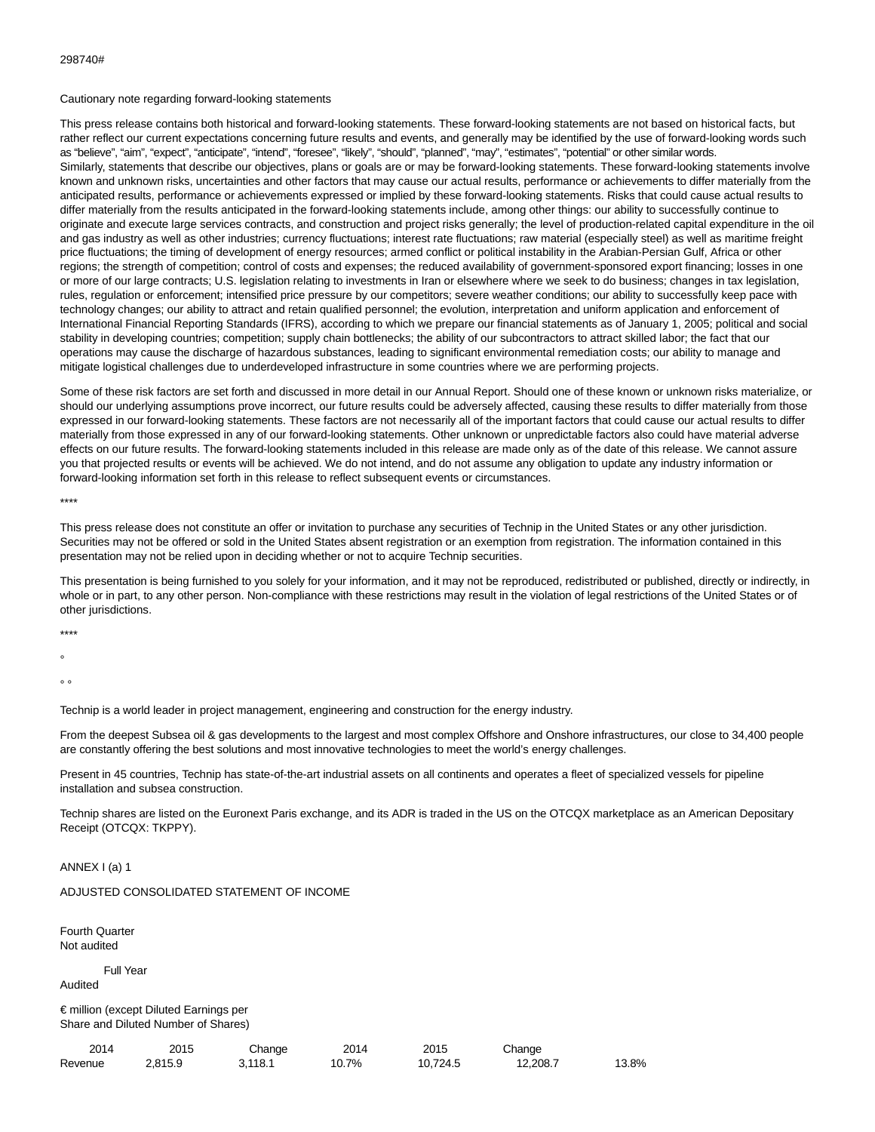#### Cautionary note regarding forward-looking statements

This press release contains both historical and forward-looking statements. These forward-looking statements are not based on historical facts, but rather reflect our current expectations concerning future results and events, and generally may be identified by the use of forward-looking words such as "believe", "aim", "expect", "anticipate", "intend", "foresee", "likely", "should", "planned", "may", "estimates", "potential" or other similar words. Similarly, statements that describe our objectives, plans or goals are or may be forward-looking statements. These forward-looking statements involve known and unknown risks, uncertainties and other factors that may cause our actual results, performance or achievements to differ materially from the anticipated results, performance or achievements expressed or implied by these forward-looking statements. Risks that could cause actual results to differ materially from the results anticipated in the forward-looking statements include, among other things: our ability to successfully continue to originate and execute large services contracts, and construction and project risks generally; the level of production-related capital expenditure in the oil and gas industry as well as other industries; currency fluctuations; interest rate fluctuations; raw material (especially steel) as well as maritime freight price fluctuations; the timing of development of energy resources; armed conflict or political instability in the Arabian-Persian Gulf, Africa or other regions; the strength of competition; control of costs and expenses; the reduced availability of government-sponsored export financing; losses in one or more of our large contracts; U.S. legislation relating to investments in Iran or elsewhere where we seek to do business; changes in tax legislation, rules, regulation or enforcement; intensified price pressure by our competitors; severe weather conditions; our ability to successfully keep pace with technology changes; our ability to attract and retain qualified personnel; the evolution, interpretation and uniform application and enforcement of International Financial Reporting Standards (IFRS), according to which we prepare our financial statements as of January 1, 2005; political and social stability in developing countries; competition; supply chain bottlenecks; the ability of our subcontractors to attract skilled labor; the fact that our operations may cause the discharge of hazardous substances, leading to significant environmental remediation costs; our ability to manage and mitigate logistical challenges due to underdeveloped infrastructure in some countries where we are performing projects.

Some of these risk factors are set forth and discussed in more detail in our Annual Report. Should one of these known or unknown risks materialize, or should our underlying assumptions prove incorrect, our future results could be adversely affected, causing these results to differ materially from those expressed in our forward-looking statements. These factors are not necessarily all of the important factors that could cause our actual results to differ materially from those expressed in any of our forward-looking statements. Other unknown or unpredictable factors also could have material adverse effects on our future results. The forward-looking statements included in this release are made only as of the date of this release. We cannot assure you that projected results or events will be achieved. We do not intend, and do not assume any obligation to update any industry information or forward-looking information set forth in this release to reflect subsequent events or circumstances.

\*\*\*\*

This press release does not constitute an offer or invitation to purchase any securities of Technip in the United States or any other jurisdiction. Securities may not be offered or sold in the United States absent registration or an exemption from registration. The information contained in this presentation may not be relied upon in deciding whether or not to acquire Technip securities.

This presentation is being furnished to you solely for your information, and it may not be reproduced, redistributed or published, directly or indirectly, in whole or in part, to any other person. Non-compliance with these restrictions may result in the violation of legal restrictions of the United States or of other jurisdictions.

\*\*\*\*

°

 $\circ$ 

Technip is a world leader in project management, engineering and construction for the energy industry.

From the deepest Subsea oil & gas developments to the largest and most complex Offshore and Onshore infrastructures, our close to 34,400 people are constantly offering the best solutions and most innovative technologies to meet the world's energy challenges.

Present in 45 countries, Technip has state-of-the-art industrial assets on all continents and operates a fleet of specialized vessels for pipeline installation and subsea construction.

Technip shares are listed on the Euronext Paris exchange, and its ADR is traded in the US on the OTCQX marketplace as an American Depositary Receipt (OTCQX: TKPPY).

ANNEX I (a) 1

ADJUSTED CONSOLIDATED STATEMENT OF INCOME

Fourth Quarter Not audited

Full Year

Audited

€ million (except Diluted Earnings per Share and Diluted Number of Shares)

| 2014    | 2015    | ⊃hanαe | 2014  | 2015     | Chanαe   |            |
|---------|---------|--------|-------|----------|----------|------------|
| Revenue | 2.815.9 | 118.   | 10.7% | 10.724.5 | 12.208.7 | 3.8%<br>ໍດ |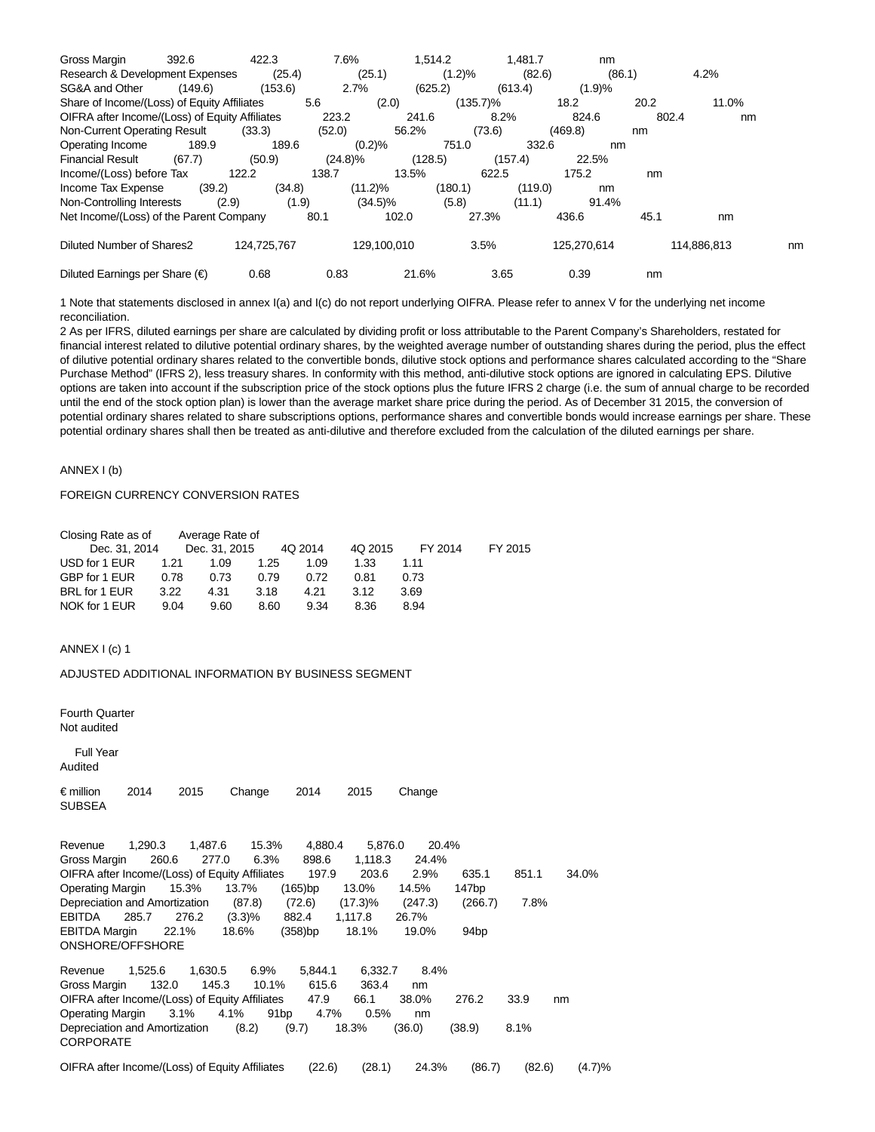| Gross Margin                                   | 392.6   | 422.3       | 7.6%       |             | 1,514.2  | 1.481.7 | nm          |       |             |    |
|------------------------------------------------|---------|-------------|------------|-------------|----------|---------|-------------|-------|-------------|----|
| Research & Development Expenses                |         | (25.4)      |            | (25.1)      | (1.2)%   | (82.6)  | (86.1)      |       | 4.2%        |    |
| SG&A and Other                                 | (149.6) | (153.6)     | 2.7%       |             | (625.2)  | (613.4) | (1.9)%      |       |             |    |
| Share of Income/(Loss) of Equity Affiliates    |         |             | 5.6        | (2.0)       | (135.7)% |         | 18.2        | 20.2  | 11.0%       |    |
| OIFRA after Income/(Loss) of Equity Affiliates |         |             | 223.2      | 241.6       |          | 8.2%    | 824.6       | 802.4 | nm          |    |
| Non-Current Operating Result                   |         | (33.3)      | (52.0)     | 56.2%       |          | (73.6)  | (469.8)     | nm    |             |    |
| Operating Income                               | 189.9   | 189.6       |            | (0.2)%      | 751.0    | 332.6   | nm          |       |             |    |
| <b>Financial Result</b>                        | (67.7)  | (50.9)      | $(24.8)\%$ | (128.5)     |          | (157.4) | 22.5%       |       |             |    |
| Income/(Loss) before Tax                       |         | 122.2       | 138.7      | 13.5%       |          | 622.5   | 175.2       | nm    |             |    |
| Income Tax Expense                             | (39.2)  | (34.8)      |            | $(11.2)\%$  | (180.1)  | (119.0) | nm          |       |             |    |
| Non-Controlling Interests                      | (2.9)   | (1.9)       |            | $(34.5)\%$  | (5.8)    | (11.1)  | 91.4%       |       |             |    |
| Net Income/(Loss) of the Parent Company        |         |             | 80.1       | 102.0       |          | 27.3%   | 436.6       | 45.1  | nm          |    |
| Diluted Number of Shares2                      |         | 124,725,767 |            | 129,100,010 |          | 3.5%    | 125,270,614 |       | 114,886,813 | nm |
| Diluted Earnings per Share $(\epsilon)$        |         | 0.68        | 0.83       | 21.6%       |          | 3.65    | 0.39        | nm    |             |    |

1 Note that statements disclosed in annex I(a) and I(c) do not report underlying OIFRA. Please refer to annex V for the underlying net income reconciliation.

2 As per IFRS, diluted earnings per share are calculated by dividing profit or loss attributable to the Parent Company's Shareholders, restated for financial interest related to dilutive potential ordinary shares, by the weighted average number of outstanding shares during the period, plus the effect of dilutive potential ordinary shares related to the convertible bonds, dilutive stock options and performance shares calculated according to the "Share Purchase Method" (IFRS 2), less treasury shares. In conformity with this method, anti-dilutive stock options are ignored in calculating EPS. Dilutive options are taken into account if the subscription price of the stock options plus the future IFRS 2 charge (i.e. the sum of annual charge to be recorded until the end of the stock option plan) is lower than the average market share price during the period. As of December 31 2015, the conversion of potential ordinary shares related to share subscriptions options, performance shares and convertible bonds would increase earnings per share. These potential ordinary shares shall then be treated as anti-dilutive and therefore excluded from the calculation of the diluted earnings per share.

# ANNEX I (b)

# FOREIGN CURRENCY CONVERSION RATES

| Closing Rate as of |      | Average Rate of |      |         |         |         |         |
|--------------------|------|-----------------|------|---------|---------|---------|---------|
| Dec. 31, 2014      |      | Dec. 31, 2015   |      | 4Q 2014 | 4Q 2015 | FY 2014 | FY 2015 |
| USD for 1 EUR      | 1.21 | 1.09            | 1.25 | 1.09    | 1.33    | 1.11    |         |
| GBP for 1 EUR      | 0.78 | 0.73            | 0.79 | 0.72    | 0.81    | 0.73    |         |
| BRL for 1 EUR      | 3.22 | 4.31            | 3.18 | 4.21    | 3.12    | 3.69    |         |
| NOK for 1 EUR      | 9.04 | 9.60            | 8.60 | 9.34    | 8.36    | 8.94    |         |

ANNEX I (c) 1

#### ADJUSTED ADDITIONAL INFORMATION BY BUSINESS SEGMENT

Fourth Quarter Not audited

Full Year

Audited

€ million 2014 2015 Change 2014 2015 Change SUBSEA

Revenue 1,290.3 1,487.6 15.3% 4,880.4 5,876.0 20.4% Gross Margin 260.6 277.0 6.3% 898.6 1,118.3 24.4% OIFRA after Income/(Loss) of Equity Affiliates 197.9 203.6 2.9% 635.1 851.1 34.0% Operating Margin 15.3% 13.7% (165)bp 13.0% 14.5% 147bp Depreciation and Amortization (87.8) (72.6) (17.3)% (247.3) (266.7) 7.8% EBITDA 285.7 276.2 (3.3)% 882.4 1,117.8 26.7% EBITDA Margin 22.1% 18.6% (358)bp 18.1% 19.0% 94bp ONSHORE/OFFSHORE

Revenue 1,525.6 1,630.5 6.9% 5,844.1 6,332.7 8.4% Gross Margin 132.0 145.3 10.1% 615.6 363.4 nm OIFRA after Income/(Loss) of Equity Affiliates 47.9 66.1 38.0% 276.2 33.9 nm Operating Margin 3.1% 4.1% 91bp 4.7% 0.5% nm Depreciation and Amortization (8.2) (9.7) 18.3% (36.0) (38.9) 8.1% CORPORATE

OIFRA after Income/(Loss) of Equity Affiliates (22.6) (28.1) 24.3% (86.7) (82.6) (4.7)%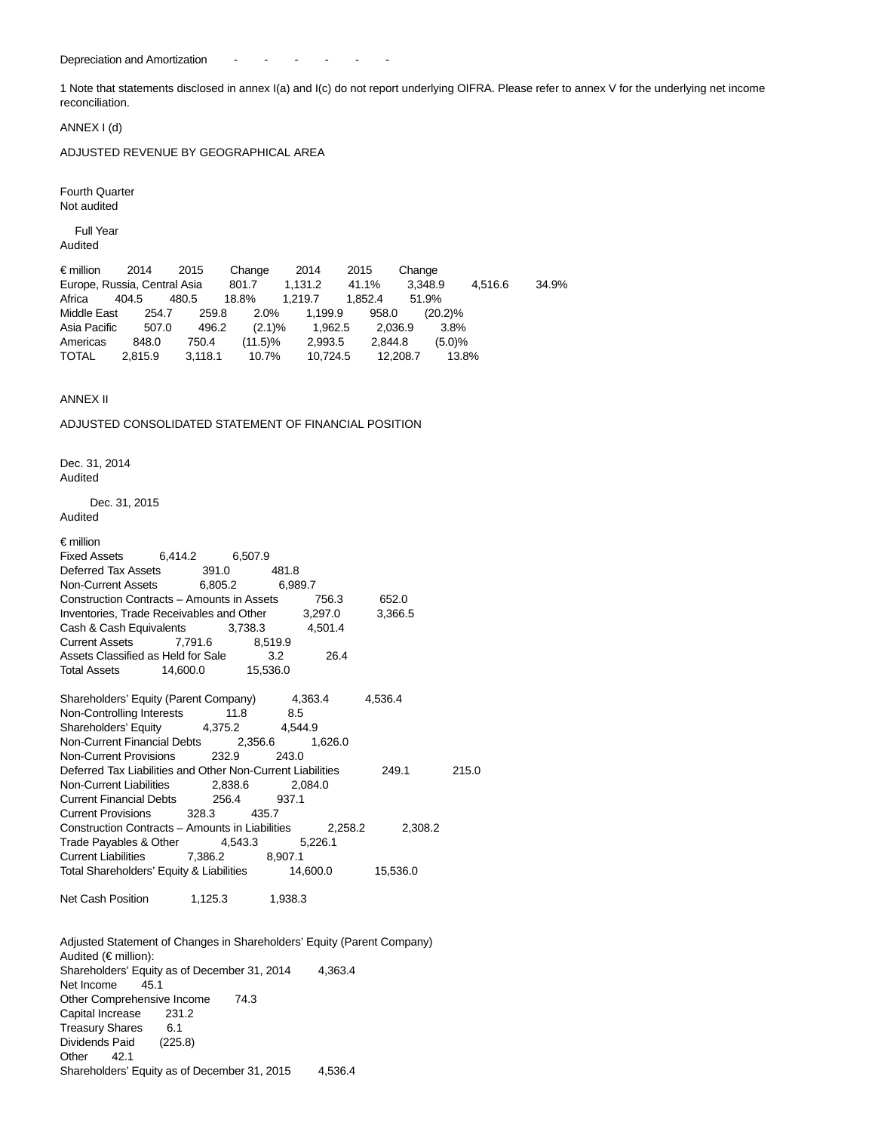Depreciation and Amortization - - - - - -

1 Note that statements disclosed in annex I(a) and I(c) do not report underlying OIFRA. Please refer to annex V for the underlying net income reconciliation.

ANNEX I (d)

ADJUSTED REVENUE BY GEOGRAPHICAL AREA

Fourth Quarter Not audited

Full Year

Audited

€ million 2014 2015 Change 2014 2015 Change Europe, Russia, Central Asia 801.7 1,131.2 41.1% 3,348.9 4,516.6 34.9% Africa 404.5 480.5 18.8% 1,219.7 1,852.4 51.9% Middle East 254.7 259.8 2.0% 1,199.9 958.0 (20.2)% Asia Pacific 507.0 496.2 (2.1)% 1,962.5 2,036.9 3.8% Americas 848.0 750.4 (11.5)% 2,993.5 2,844.8 (5.0)% TOTAL 2,815.9 3,118.1 10.7% 10,724.5 12,208.7 13.8%

# ANNEX II

ADJUSTED CONSOLIDATED STATEMENT OF FINANCIAL POSITION

Dec. 31, 2014 **Audited** 

 Dec. 31, 2015 Audited

#### € million

| Fixed Assets 6,414.2 6,507.9                                     |  |      |         |       |
|------------------------------------------------------------------|--|------|---------|-------|
| Deferred Tax Assets 391.0 481.8                                  |  |      |         |       |
| Non-Current Assets 6,805.2 6,989.7                               |  |      |         |       |
| Construction Contracts - Amounts in Assets 756.3 652.0           |  |      |         |       |
| Inventories, Trade Receivables and Other 3,297.0                 |  |      | 3,366.5 |       |
| Cash & Cash Equivalents 3,738.3 4,501.4                          |  |      |         |       |
| Current Assets 7,791.6 8,519.9                                   |  |      |         |       |
| Assets Classified as Held for Sale 3.2                           |  | 26.4 |         |       |
| Total Assets 14,600.0 15,536.0                                   |  |      |         |       |
|                                                                  |  |      |         |       |
| Shareholders' Equity (Parent Company) 4,363.4 4,536.4            |  |      |         |       |
| Non-Controlling Interests 11.8 8.5                               |  |      |         |       |
| Shareholders' Equity 4,375.2 4,544.9                             |  |      |         |       |
| Non-Current Financial Debts 2,356.6 1,626.0                      |  |      |         |       |
| Non-Current Provisions 232.9 243.0                               |  |      |         |       |
| Deferred Tax Liabilities and Other Non-Current Liabilities 249.1 |  |      |         | 215.0 |
| Non-Current Liabilities 2,838.6 2,084.0                          |  |      |         |       |
| Current Financial Debts 256.4 937.1                              |  |      |         |       |
| Current Provisions 328.3 435.7                                   |  |      |         |       |
| Construction Contracts - Amounts in Liabilities 2,258.2          |  |      | 2,308.2 |       |
| Trade Payables & Other 4,543.3 5,226.1                           |  |      |         |       |
| Current Liabilities 7,386.2 8,907.1                              |  |      |         |       |
| Total Shareholders' Equity & Liabilities 14,600.0 15,536.0       |  |      |         |       |

Net Cash Position 1,125.3 1,938.3

Adjusted Statement of Changes in Shareholders' Equity (Parent Company) Audited (€ million): Shareholders' Equity as of December 31, 2014 4,363.4 Net Income 45.1 Other Comprehensive Income 74.3 Capital Increase 231.2 Treasury Shares 6.1 Dividends Paid (225.8) Other 42.1 Shareholders' Equity as of December 31, 2015 4,536.4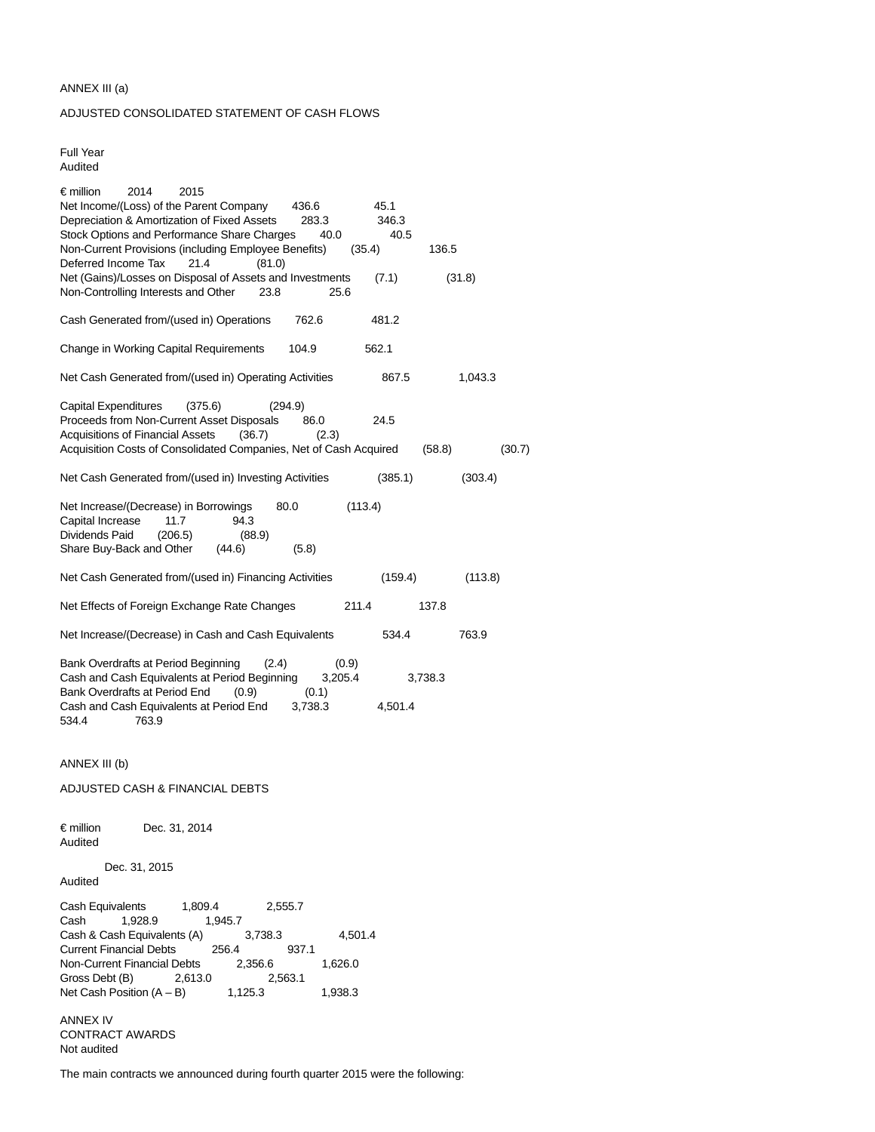#### ANNEX III (a)

# ADJUSTED CONSOLIDATED STATEMENT OF CASH FLOWS

Full Year Audited

| $\epsilon$ million<br>2014<br>2015<br>Net Income/(Loss) of the Parent Company<br>45.1<br>436.6<br>Depreciation & Amortization of Fixed Assets<br>283.3<br>346.3<br>Stock Options and Performance Share Charges<br>40.0<br>40.5<br>Non-Current Provisions (including Employee Benefits)<br>136.5<br>(35.4)<br>Deferred Income Tax<br>21.4<br>(81.0)<br>Net (Gains)/Losses on Disposal of Assets and Investments<br>(7.1)<br>(31.8)<br>Non-Controlling Interests and Other<br>23.8<br>25.6 |
|------------------------------------------------------------------------------------------------------------------------------------------------------------------------------------------------------------------------------------------------------------------------------------------------------------------------------------------------------------------------------------------------------------------------------------------------------------------------------------------|
| Cash Generated from/(used in) Operations<br>762.6<br>481.2                                                                                                                                                                                                                                                                                                                                                                                                                               |
| Change in Working Capital Requirements<br>104.9<br>562.1                                                                                                                                                                                                                                                                                                                                                                                                                                 |
|                                                                                                                                                                                                                                                                                                                                                                                                                                                                                          |
| Net Cash Generated from/(used in) Operating Activities<br>867.5<br>1,043.3                                                                                                                                                                                                                                                                                                                                                                                                               |
| <b>Capital Expenditures</b><br>(375.6)<br>(294.9)<br>Proceeds from Non-Current Asset Disposals<br>24.5<br>86.0<br><b>Acquisitions of Financial Assets</b><br>(36.7)<br>(2.3)<br>Acquisition Costs of Consolidated Companies, Net of Cash Acquired<br>(58.8)<br>(30.7)                                                                                                                                                                                                                    |
|                                                                                                                                                                                                                                                                                                                                                                                                                                                                                          |
| Net Cash Generated from/(used in) Investing Activities<br>(385.1)<br>(303.4)                                                                                                                                                                                                                                                                                                                                                                                                             |
| Net Increase/(Decrease) in Borrowings<br>(113.4)<br>80.0<br>Capital Increase<br>11.7<br>94.3<br>Dividends Paid<br>(206.5)<br>(88.9)<br>Share Buy-Back and Other<br>(44.6)<br>(5.8)                                                                                                                                                                                                                                                                                                       |
| Net Cash Generated from/(used in) Financing Activities<br>(159.4)<br>(113.8)                                                                                                                                                                                                                                                                                                                                                                                                             |
| Net Effects of Foreign Exchange Rate Changes<br>211.4<br>137.8                                                                                                                                                                                                                                                                                                                                                                                                                           |
| Net Increase/(Decrease) in Cash and Cash Equivalents<br>534.4<br>763.9                                                                                                                                                                                                                                                                                                                                                                                                                   |
| Bank Overdrafts at Period Beginning<br>(2.4)<br>(0.9)<br>Cash and Cash Equivalents at Period Beginning<br>3,205.4<br>3,738.3<br>Bank Overdrafts at Period End<br>(0.9)<br>(0.1)                                                                                                                                                                                                                                                                                                          |
| Cash and Cash Equivalents at Period End<br>3,738.3<br>4,501.4<br>534.4<br>763.9                                                                                                                                                                                                                                                                                                                                                                                                          |
| ANNEX III (b)                                                                                                                                                                                                                                                                                                                                                                                                                                                                            |
| ADJUSTED CASH & FINANCIAL DEBTS                                                                                                                                                                                                                                                                                                                                                                                                                                                          |
| € million<br>Dec. 31, 2014<br>Audited                                                                                                                                                                                                                                                                                                                                                                                                                                                    |
| Dec. 31, 2015<br>Audited                                                                                                                                                                                                                                                                                                                                                                                                                                                                 |
| Cash Equivalents<br>1,809.4<br>2,555.7<br>Cash<br>1,928.9<br>1,945.7<br>Cash & Cash Equivalents (A)<br>3,738.3<br>4,501.4<br><b>Current Financial Debts</b><br>256.4<br>937.1<br>Non-Current Financial Debts<br>2,356.6<br>1,626.0<br>Gross Debt (B)<br>2,613.0<br>2,563.1<br>Net Cash Position $(A - B)$<br>1,125.3<br>1,938.3                                                                                                                                                          |
| ANNEX IV<br><b>CONTRACT AWARDS</b><br>Not audited                                                                                                                                                                                                                                                                                                                                                                                                                                        |

The main contracts we announced during fourth quarter 2015 were the following: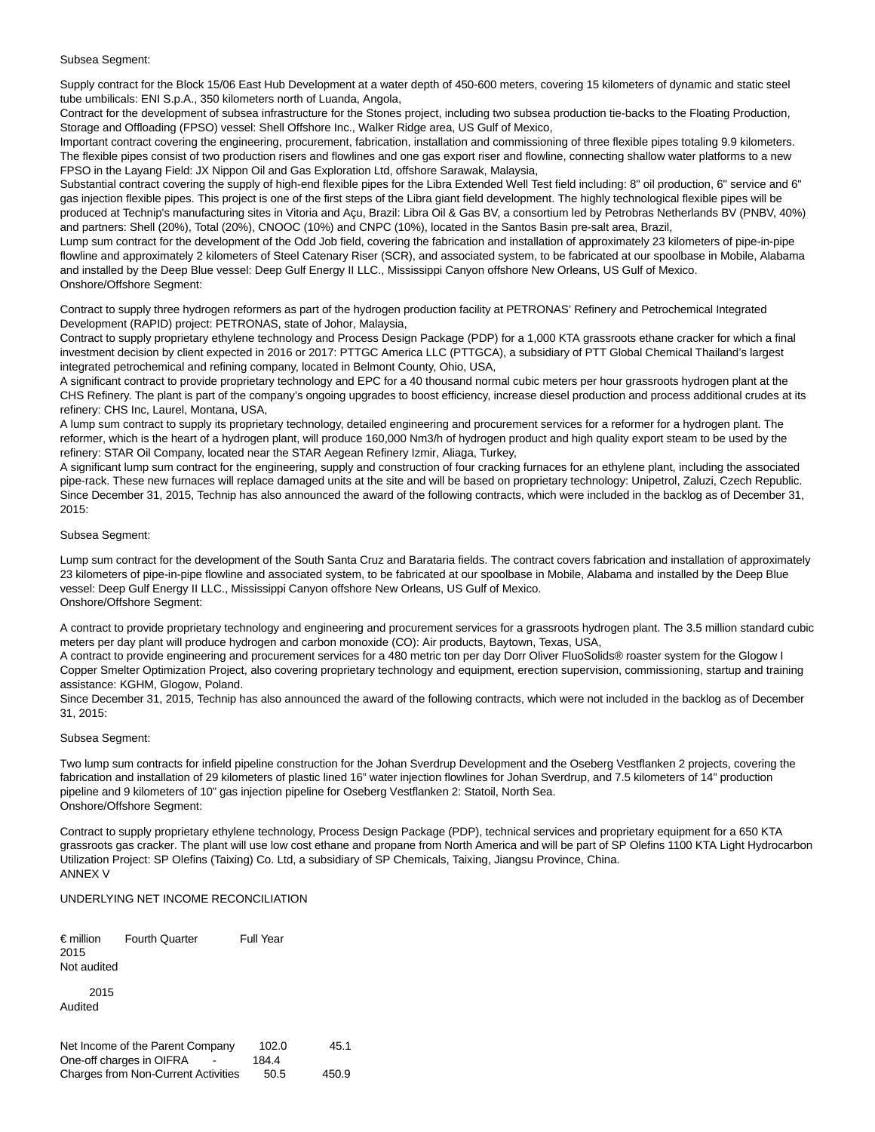# Subsea Segment:

Supply contract for the Block 15/06 East Hub Development at a water depth of 450-600 meters, covering 15 kilometers of dynamic and static steel tube umbilicals: ENI S.p.A., 350 kilometers north of Luanda, Angola,

Contract for the development of subsea infrastructure for the Stones project, including two subsea production tie-backs to the Floating Production, Storage and Offloading (FPSO) vessel: Shell Offshore Inc., Walker Ridge area, US Gulf of Mexico,

Important contract covering the engineering, procurement, fabrication, installation and commissioning of three flexible pipes totaling 9.9 kilometers. The flexible pipes consist of two production risers and flowlines and one gas export riser and flowline, connecting shallow water platforms to a new FPSO in the Layang Field: JX Nippon Oil and Gas Exploration Ltd, offshore Sarawak, Malaysia,

Substantial contract covering the supply of high-end flexible pipes for the Libra Extended Well Test field including: 8" oil production, 6" service and 6" gas injection flexible pipes. This project is one of the first steps of the Libra giant field development. The highly technological flexible pipes will be produced at Technip's manufacturing sites in Vitoria and Açu, Brazil: Libra Oil & Gas BV, a consortium led by Petrobras Netherlands BV (PNBV, 40%) and partners: Shell (20%), Total (20%), CNOOC (10%) and CNPC (10%), located in the Santos Basin pre-salt area, Brazil,

Lump sum contract for the development of the Odd Job field, covering the fabrication and installation of approximately 23 kilometers of pipe-in-pipe flowline and approximately 2 kilometers of Steel Catenary Riser (SCR), and associated system, to be fabricated at our spoolbase in Mobile, Alabama and installed by the Deep Blue vessel: Deep Gulf Energy II LLC., Mississippi Canyon offshore New Orleans, US Gulf of Mexico. Onshore/Offshore Segment:

Contract to supply three hydrogen reformers as part of the hydrogen production facility at PETRONAS' Refinery and Petrochemical Integrated Development (RAPID) project: PETRONAS, state of Johor, Malaysia,

Contract to supply proprietary ethylene technology and Process Design Package (PDP) for a 1,000 KTA grassroots ethane cracker for which a final investment decision by client expected in 2016 or 2017: PTTGC America LLC (PTTGCA), a subsidiary of PTT Global Chemical Thailand's largest integrated petrochemical and refining company, located in Belmont County, Ohio, USA,

A significant contract to provide proprietary technology and EPC for a 40 thousand normal cubic meters per hour grassroots hydrogen plant at the CHS Refinery. The plant is part of the company's ongoing upgrades to boost efficiency, increase diesel production and process additional crudes at its refinery: CHS Inc, Laurel, Montana, USA,

A lump sum contract to supply its proprietary technology, detailed engineering and procurement services for a reformer for a hydrogen plant. The reformer, which is the heart of a hydrogen plant, will produce 160,000 Nm3/h of hydrogen product and high quality export steam to be used by the refinery: STAR Oil Company, located near the STAR Aegean Refinery Izmir, Aliaga, Turkey,

A significant lump sum contract for the engineering, supply and construction of four cracking furnaces for an ethylene plant, including the associated pipe-rack. These new furnaces will replace damaged units at the site and will be based on proprietary technology: Unipetrol, Zaluzi, Czech Republic. Since December 31, 2015, Technip has also announced the award of the following contracts, which were included in the backlog as of December 31, 2015:

# Subsea Segment:

Lump sum contract for the development of the South Santa Cruz and Barataria fields. The contract covers fabrication and installation of approximately 23 kilometers of pipe-in-pipe flowline and associated system, to be fabricated at our spoolbase in Mobile, Alabama and installed by the Deep Blue vessel: Deep Gulf Energy II LLC., Mississippi Canyon offshore New Orleans, US Gulf of Mexico. Onshore/Offshore Segment:

A contract to provide proprietary technology and engineering and procurement services for a grassroots hydrogen plant. The 3.5 million standard cubic meters per day plant will produce hydrogen and carbon monoxide (CO): Air products, Baytown, Texas, USA,

A contract to provide engineering and procurement services for a 480 metric ton per day Dorr Oliver FluoSolids® roaster system for the Glogow I Copper Smelter Optimization Project, also covering proprietary technology and equipment, erection supervision, commissioning, startup and training assistance: KGHM, Glogow, Poland.

Since December 31, 2015, Technip has also announced the award of the following contracts, which were not included in the backlog as of December 31, 2015:

# Subsea Segment:

Two lump sum contracts for infield pipeline construction for the Johan Sverdrup Development and the Oseberg Vestflanken 2 projects, covering the fabrication and installation of 29 kilometers of plastic lined 16" water injection flowlines for Johan Sverdrup, and 7.5 kilometers of 14" production pipeline and 9 kilometers of 10" gas injection pipeline for Oseberg Vestflanken 2: Statoil, North Sea. Onshore/Offshore Segment:

Contract to supply proprietary ethylene technology, Process Design Package (PDP), technical services and proprietary equipment for a 650 KTA grassroots gas cracker. The plant will use low cost ethane and propane from North America and will be part of SP Olefins 1100 KTA Light Hydrocarbon Utilization Project: SP Olefins (Taixing) Co. Ltd, a subsidiary of SP Chemicals, Taixing, Jiangsu Province, China. ANNEX V

# UNDERLYING NET INCOME RECONCILIATION

| $\epsilon$ million<br>2015<br>Not audited | <b>Fourth Quarter</b>                                        | Full Year      |      |
|-------------------------------------------|--------------------------------------------------------------|----------------|------|
| 2015<br>Audited                           |                                                              |                |      |
|                                           | Net Income of the Parent Company<br>One-off charges in OIFRA | 102.0<br>184.4 | 45.1 |

Charges from Non-Current Activities 50.5 450.9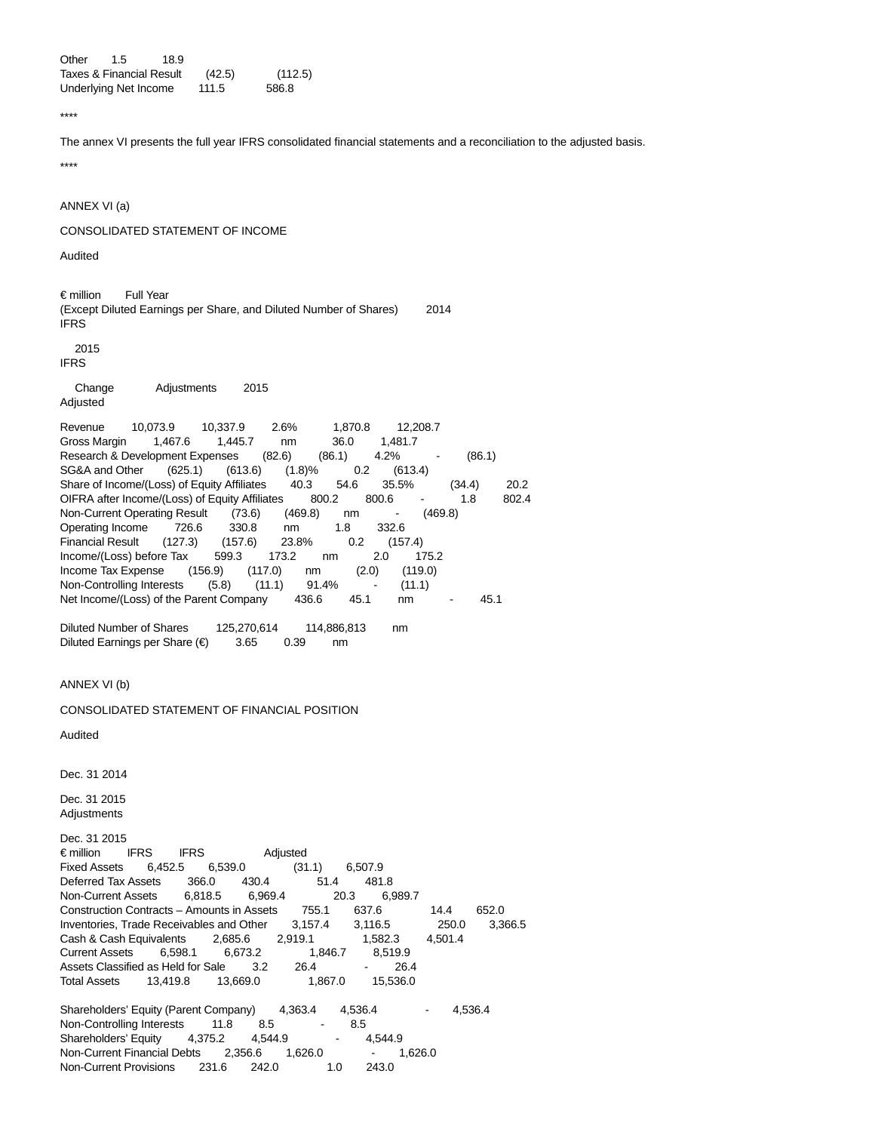Other 1.5 18.9 Taxes & Financial Result (42.5) (112.5) Underlying Net Income 111.5 586.8

\*\*\*\*

The annex VI presents the full year IFRS consolidated financial statements and a reconciliation to the adjusted basis. \*\*\*\*

ANNEX VI (a)

CONSOLIDATED STATEMENT OF INCOME

Audited

€ million Full Year (Except Diluted Earnings per Share, and Diluted Number of Shares) 2014 IFRS

2015

IFRS

 Change Adjustments 2015 Adjusted

Revenue 10,073.9 10,337.9 2.6% 1,870.8 12,208.7 Gross Margin 1,467.6 1,445.7 nm 36.0 1,481.7 Research & Development Expenses (82.6) (86.1) 4.2% - (86.1) SG&A and Other (625.1) (613.6) (1.8)% 0.2 (613.4) Share of Income/(Loss) of Equity Affiliates 40.3 54.6 35.5% (34.4) 20.2 OIFRA after Income/(Loss) of Equity Affiliates 800.2 800.6 - 1.8 802.4 Non-Current Operating Result (73.6) (469.8) nm - (469.8) Operating Income 726.6 330.8 nm 1.8 332.6 Financial Result (127.3) (157.6) 23.8% 0.2 (157.4) Income/(Loss) before Tax 599.3 173.2 nm 2.0 175.2 Income Tax Expense (156.9) (117.0) nm (2.0) (119.0) Non-Controlling Interests (5.8) (11.1) 91.4% - (11.1) Net Income/(Loss) of the Parent Company 436.6 45.1 nm - 45.1

Diluted Number of Shares 125,270,614 114,886,813 nm Diluted Earnings per Share (€) 3.65 0.39 nm

ANNEX VI (b)

CONSOLIDATED STATEMENT OF FINANCIAL POSITION

Audited

Dec. 31 2014

Dec. 31 2015 Adjustments

Dec. 31 2015 € million IFRS IFRS Adjusted Fixed Assets 6,452.5 6,539.0 (31.1) 6,507.9 Deferred Tax Assets 366.0 430.4 51.4 481.8 Non-Current Assets 6,818.5 6,969.4 20.3 6,989.7 Construction Contracts – Amounts in Assets 755.1 637.6 14.4 652.0 Inventories, Trade Receivables and Other 3,157.4 3,116.5 250.0 3,366.5 Cash & Cash Equivalents 2,685.6 2,919.1 1,582.3 4,501.4 Current Assets 6,598.1 6,673.2 1,846.7 8,519.9 Assets Classified as Held for Sale 3.2 26.4 - 26.4 Total Assets 13,419.8 13,669.0 1,867.0 15,536.0

Shareholders' Equity (Parent Company) 4,363.4 4,536.4 4,536.4 Non-Controlling Interests 11.8 8.5 - 8.5<br>
Shareholders' Equity 4,375.2 4,544.9 - 4,544.9 Shareholders' Equity 4,375.2 4,544.9 Non-Current Financial Debts 2,356.6 1,626.0 - 1,626.0 Non-Current Provisions 231.6 242.0 1.0 243.0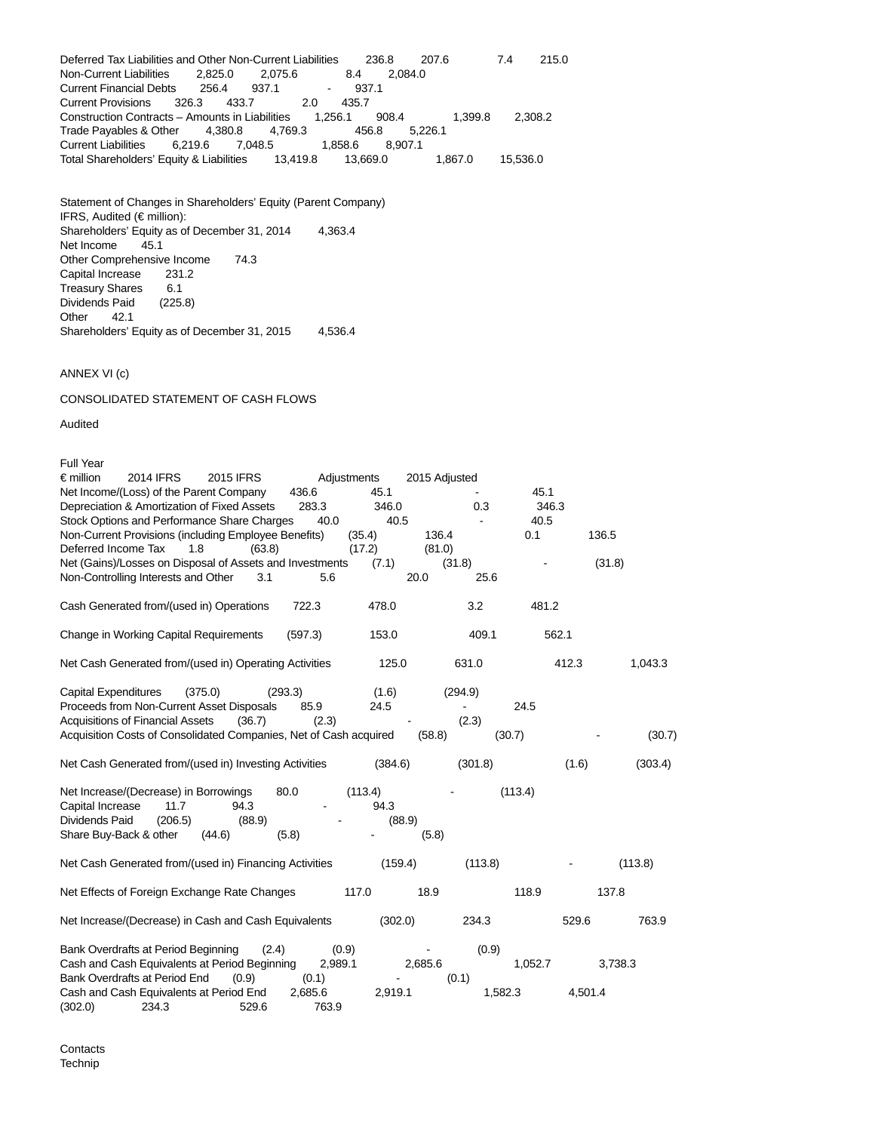Deferred Tax Liabilities and Other Non-Current Liabilities 236.8 207.6 7.4 215.0 Non-Current Liabilities 2,825.0 2,075.6 8.4 2,084.0 Current Financial Debts 256.4 937.1 - 937.1 Current Provisions 326.3 433.7 Construction Contracts – Amounts in Liabilities 1,256.1 908.4 1,399.8 2,308.2 Trade Payables & Other 4,380.8 4,769.3 456.8 5,226.1<br>Current Liabilities 6,219.6 7,048.5 1,858.6 8,907.1 **Current Liabilities** Total Shareholders' Equity & Liabilities 13,419.8 13,669.0 1,867.0 15,536.0

Statement of Changes in Shareholders' Equity (Parent Company) IFRS, Audited (€ million): Shareholders' Equity as of December 31, 2014 4,363.4 Net Income 45.1 Other Comprehensive Income 74.3<br>Capital Increase 231.2 Capital Increase Treasury Shares 6.1<br>Dividends Paid (225.8) Dividends Paid Other 42.1 Shareholders' Equity as of December 31, 2015 4,536.4

# ANNEX VI (c)

CONSOLIDATED STATEMENT OF CASH FLOWS

Audited

| Full Year                                                         |               |                  |             |               |         |         |         |         |
|-------------------------------------------------------------------|---------------|------------------|-------------|---------------|---------|---------|---------|---------|
| $\epsilon$ million<br>2014 IFRS                                   | 2015 IFRS     |                  | Adjustments | 2015 Adjusted |         |         |         |         |
| Net Income/(Loss) of the Parent Company                           |               | 436.6            | 45.1        |               |         | 45.1    |         |         |
| Depreciation & Amortization of Fixed Assets                       |               | 283.3            | 346.0       |               | 0.3     | 346.3   |         |         |
| Stock Options and Performance Share Charges                       |               | 40.0             | 40.5        |               | ÷,      | 40.5    |         |         |
| Non-Current Provisions (including Employee Benefits)              |               |                  | (35.4)      | 136.4         |         | 0.1     | 136.5   |         |
| Deferred Income Tax                                               | 1.8<br>(63.8) |                  | (17.2)      | (81.0)        |         |         |         |         |
| Net (Gains)/Losses on Disposal of Assets and Investments          |               |                  | (7.1)       |               | (31.8)  |         | (31.8)  |         |
| Non-Controlling Interests and Other                               | 3.1           | 5.6              |             | 20.0          | 25.6    |         |         |         |
| Cash Generated from/(used in) Operations                          |               | 722.3            | 478.0       |               | 3.2     | 481.2   |         |         |
| Change in Working Capital Requirements                            |               | (597.3)          | 153.0       |               | 409.1   | 562.1   |         |         |
| Net Cash Generated from/(used in) Operating Activities            |               |                  | 125.0       |               | 631.0   |         | 412.3   | 1,043.3 |
| <b>Capital Expenditures</b>                                       | (375.0)       | (293.3)          | (1.6)       |               | (294.9) |         |         |         |
| Proceeds from Non-Current Asset Disposals                         |               | 85.9             | 24.5        |               |         | 24.5    |         |         |
| <b>Acquisitions of Financial Assets</b>                           | (36.7)        | (2.3)            |             |               | (2.3)   |         |         |         |
| Acquisition Costs of Consolidated Companies, Net of Cash acquired |               |                  |             | (58.8)        |         | (30.7)  |         | (30.7)  |
| Net Cash Generated from/(used in) Investing Activities            |               |                  | (384.6)     |               | (301.8) |         | (1.6)   | (303.4) |
| Net Increase/(Decrease) in Borrowings                             |               | 80.0             | (113.4)     |               |         | (113.4) |         |         |
| Capital Increase<br>11.7                                          | 94.3          |                  | 94.3        |               |         |         |         |         |
| Dividends Paid<br>(206.5)                                         | (88.9)        |                  | (88.9)      |               |         |         |         |         |
| Share Buy-Back & other                                            | (44.6)        | (5.8)            |             | (5.8)         |         |         |         |         |
| Net Cash Generated from/(used in) Financing Activities            |               |                  | (159.4)     |               | (113.8) |         |         | (113.8) |
| Net Effects of Foreign Exchange Rate Changes                      |               |                  | 117.0       | 18.9          |         | 118.9   | 137.8   |         |
| Net Increase/(Decrease) in Cash and Cash Equivalents              |               |                  | (302.0)     |               | 234.3   |         | 529.6   | 763.9   |
| Bank Overdrafts at Period Beginning                               | (2.4)         |                  | (0.9)       |               | (0.9)   |         |         |         |
| Cash and Cash Equivalents at Period Beginning                     |               | 2,989.1          |             | 2,685.6       |         | 1,052.7 |         | 3,738.3 |
| Bank Overdrafts at Period End                                     | (0.9)         | (0.1)            |             |               | (0.1)   |         |         |         |
| Cash and Cash Equivalents at Period End<br>234.3<br>(302.0)       | 529.6         | 2,685.6<br>763.9 | 2,919.1     |               | 1,582.3 |         | 4,501.4 |         |